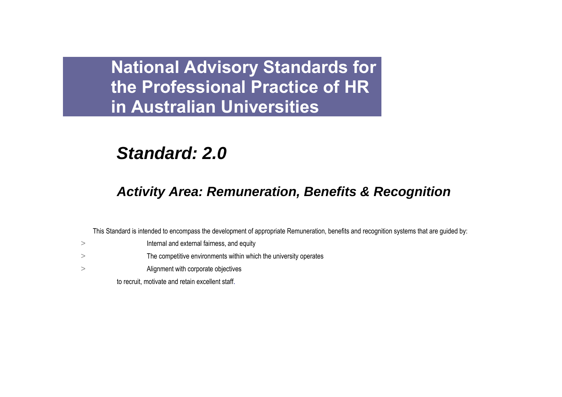# *Standard: 2.0*

## *Activity Area: Remuneration, Benefits & Recognition*

This Standard is intended to encompass the development of appropriate Remuneration, benefits and recognition systems that are guided by:

- > Internal and external fairness, and equity
- > The competitive environments within which the university operates
- > Alignment with corporate objectives

to recruit, motivate and retain excellent staff.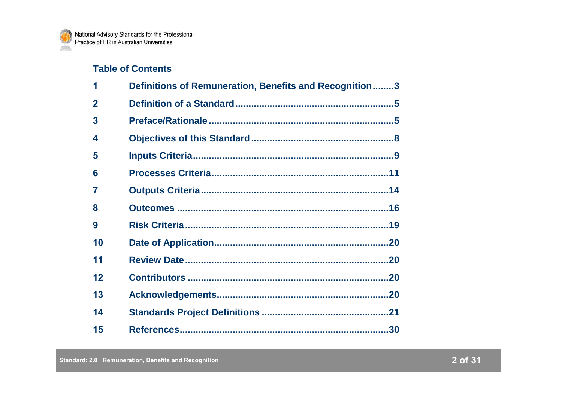## **Table of Contents**

| 1              | Definitions of Remuneration, Benefits and Recognition3 |  |
|----------------|--------------------------------------------------------|--|
| $\overline{2}$ |                                                        |  |
| 3              |                                                        |  |
| 4              |                                                        |  |
| 5              |                                                        |  |
| 6              |                                                        |  |
| 7              |                                                        |  |
| 8              |                                                        |  |
| 9              |                                                        |  |
| 10             |                                                        |  |
| 11             |                                                        |  |
| 12             |                                                        |  |
| 13             |                                                        |  |
| 14             |                                                        |  |
| 15             |                                                        |  |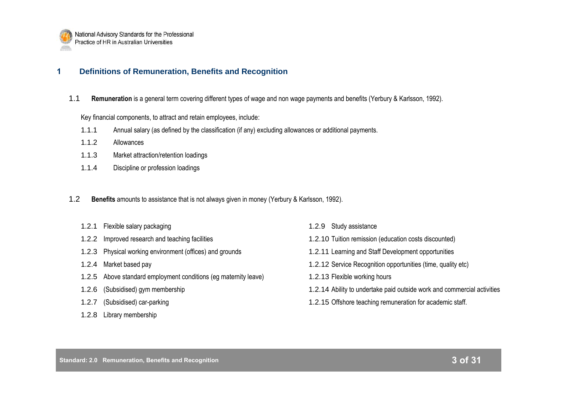

### **1 Definitions of Remuneration, Benefits and Recognition**

1.1 **Remuneration** is a general term covering different types of wage and non wage payments and benefits (Yerbury & Karlsson, 1992).

Key financial components, to attract and retain employees, include:

- 1.1.1 Annual salary (as defined by the classification (if any) excluding allowances or additional payments.
- 1.1.2 Allowances
- 1.1.3 Market attraction/retention loadings
- 1.1.4 Discipline or profession loadings
- 1.2 **Benefits** amounts to assistance that is not always given in money (Yerbury & Karlsson, 1992).
	- 1.2.1 Flexible salary packaging
	- 1.2.2 Improved research and teaching facilities
	- 1.2.3 Physical working environment (offices) and grounds
	- 1.2.4 Market based pay
	- 1.2.5 Above standard employment conditions (eg maternity leave)
	- 1.2.6 (Subsidised) gym membership
	- 1.2.7 (Subsidised) car-parking
	- 1.2.8 Library membership
- 1.2.9 Study assistance
- 1.2.10 Tuition remission (education costs discounted)
- 1.2.11 Learning and Staff Development opportunities
- 1.2.12 Service Recognition opportunities (time, quality etc)
- 1.2.13 Flexible working hours
- 1.2.14 Ability to undertake paid outside work and commercial activities
- 1.2.15 Offshore teaching remuneration for academic staff.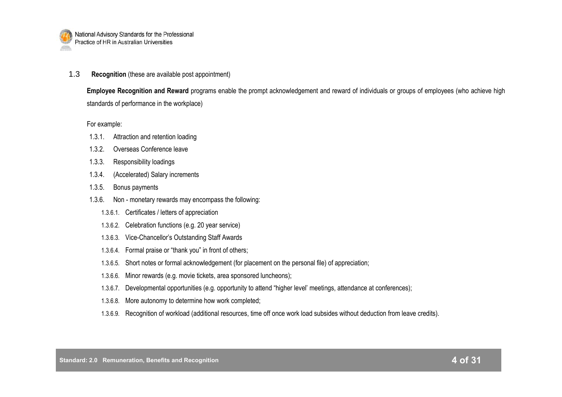

1.3 **Recognition** (these are available post appointment)

**Employee Recognition and Reward** programs enable the prompt acknowledgement and reward of individuals or groups of employees (who achieve high standards of performance in the workplace)

For example:

- 1.3.1. Attraction and retention loading
- 1.3.2. Overseas Conference leave
- 1.3.3. Responsibility loadings
- 1.3.4. (Accelerated) Salary increments
- 1.3.5. Bonus payments
- 1.3.6. Non monetary rewards may encompass the following:
	- 1.3.6.1. Certificates / letters of appreciation
	- 1.3.6.2. Celebration functions (e.g. 20 year service)
	- 1.3.6.3. Vice-Chancellor"s Outstanding Staff Awards
	- 1.3.6.4. Formal praise or "thank you" in front of others;
	- 1.3.6.5. Short notes or formal acknowledgement (for placement on the personal file) of appreciation;
	- 1.3.6.6. Minor rewards (e.g. movie tickets, area sponsored luncheons);
	- 1.3.6.7. Developmental opportunities (e.g. opportunity to attend "higher level" meetings, attendance at conferences);
	- 1.3.6.8. More autonomy to determine how work completed;
	- 1.3.6.9. Recognition of workload (additional resources, time off once work load subsides without deduction from leave credits).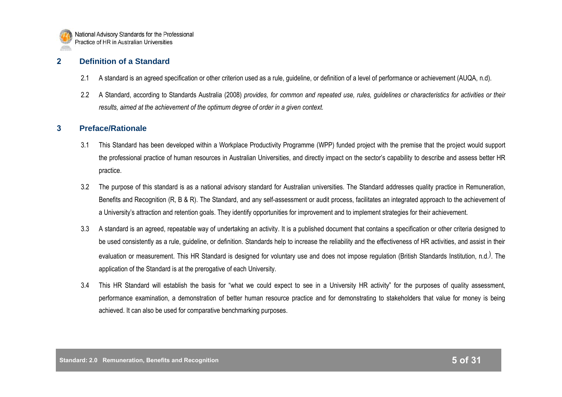

## **2 Definition of a Standard**

- 2.1 A standard is an agreed specification or other criterion used as a rule, guideline, or definition of a level of performance or achievement (AUQA, n.d).
- 2.2 A Standard, according to Standards Australia (2008) *provides, for common and repeated use, rules, guidelines or characteristics for activities or their results, aimed at the achievement of the optimum degree of order in a given context.*

## **3 Preface/Rationale**

- 3.1 This Standard has been developed within a Workplace Productivity Programme (WPP) funded project with the premise that the project would support the professional practice of human resources in Australian Universities, and directly impact on the sector"s capability to describe and assess better HR practice.
- 3.2 The purpose of this standard is as a national advisory standard for Australian universities. The Standard addresses quality practice in Remuneration, Benefits and Recognition (R, B & R). The Standard, and any self-assessment or audit process, facilitates an integrated approach to the achievement of a University's attraction and retention goals. They identify opportunities for improvement and to implement strategies for their achievement.
- 3.3 A standard is an agreed, repeatable way of undertaking an activity. It is a published document that contains a specification or other criteria designed to be used consistently as a rule, guideline, or definition. Standards help to increase the reliability and the effectiveness of HR activities, and assist in their evaluation or measurement. This HR Standard is designed for voluntary use and does not impose regulation (British Standards Institution, n.d.). The application of the Standard is at the prerogative of each University.
- 3.4 This HR Standard will establish the basis for "what we could expect to see in a University HR activity" for the purposes of quality assessment, performance examination, a demonstration of better human resource practice and for demonstrating to stakeholders that value for money is being achieved. It can also be used for comparative benchmarking purposes.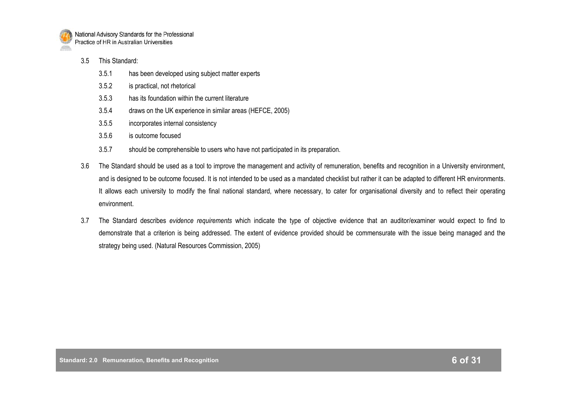

- 3.5 This Standard:
	- 3.5.1 has been developed using subject matter experts
	- 3.5.2 is practical, not rhetorical
	- 3.5.3 has its foundation within the current literature
	- 3.5.4 draws on the UK experience in similar areas (HEFCE, 2005)
	- 3.5.5 incorporates internal consistency
	- 3.5.6 is outcome focused
	- 3.5.7 should be comprehensible to users who have not participated in its preparation.
- 3.6 The Standard should be used as a tool to improve the management and activity of remuneration, benefits and recognition in a University environment, and is designed to be outcome focused. It is not intended to be used as a mandated checklist but rather it can be adapted to different HR environments. It allows each university to modify the final national standard, where necessary, to cater for organisational diversity and to reflect their operating environment.
- 3.7 The Standard describes *evidence requirements* which indicate the type of objective evidence that an auditor/examiner would expect to find to demonstrate that a criterion is being addressed. The extent of evidence provided should be commensurate with the issue being managed and the strategy being used. (Natural Resources Commission, 2005)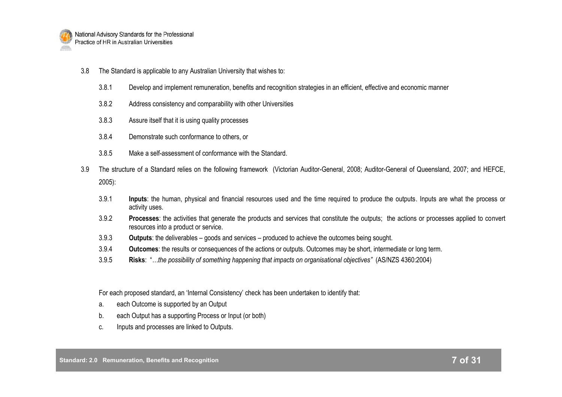

- 3.8 The Standard is applicable to any Australian University that wishes to:
	- 3.8.1 Develop and implement remuneration, benefits and recognition strategies in an efficient, effective and economic manner
	- 3.8.2 Address consistency and comparability with other Universities
	- 3.8.3 Assure itself that it is using quality processes
	- 3.8.4 Demonstrate such conformance to others, or
	- 3.8.5 Make a self-assessment of conformance with the Standard.
- 3.9 The structure of a Standard relies on the following framework (Victorian Auditor-General, 2008; Auditor-General of Queensland, 2007; and HEFCE, 2005):
	- 3.9.1 **Inputs**: the human, physical and financial resources used and the time required to produce the outputs. Inputs are what the process or activity uses.
	- 3.9.2 **Processes**: the activities that generate the products and services that constitute the outputs; the actions or processes applied to convert resources into a product or service.
	- 3.9.3 **Outputs**: the deliverables goods and services produced to achieve the outcomes being sought.
	- 3.9.4 **Outcomes**: the results or consequences of the actions or outputs. Outcomes may be short, intermediate or long term.
	- 3.9.5 **Risks**: "*…the possibility of something happening that impacts on organisational objectives"* (AS/NZS 4360:2004)

For each proposed standard, an "Internal Consistency" check has been undertaken to identify that:

- a. each Outcome is supported by an Output
- b. each Output has a supporting Process or Input (or both)
- c. Inputs and processes are linked to Outputs.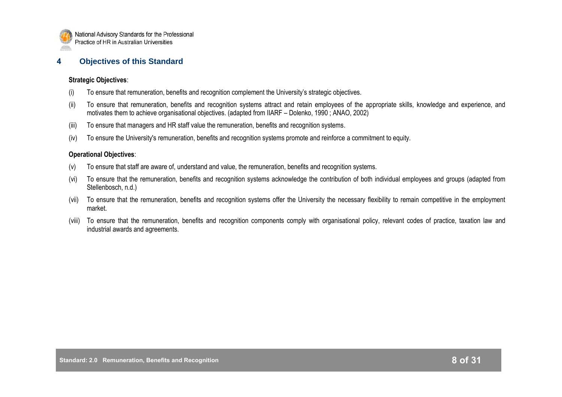

#### **4 Objectives of this Standard**

#### **Strategic Objectives**:

- (i) To ensure that remuneration, benefits and recognition complement the University"s strategic objectives.
- (ii) To ensure that remuneration, benefits and recognition systems attract and retain employees of the appropriate skills, knowledge and experience, and motivates them to achieve organisational objectives. (adapted from IIARF – Dolenko, 1990 ; ANAO, 2002)
- (iii) To ensure that managers and HR staff value the remuneration, benefits and recognition systems.
- (iv) To ensure the University's remuneration, benefits and recognition systems promote and reinforce a commitment to equity.

#### **Operational Objectives**:

- (v) To ensure that staff are aware of, understand and value, the remuneration, benefits and recognition systems.
- (vi) To ensure that the remuneration, benefits and recognition systems acknowledge the contribution of both individual employees and groups (adapted from Stellenbosch, n.d.)
- (vii) To ensure that the remuneration, benefits and recognition systems offer the University the necessary flexibility to remain competitive in the employment market.
- (viii) To ensure that the remuneration, benefits and recognition components comply with organisational policy, relevant codes of practice, taxation law and industrial awards and agreements.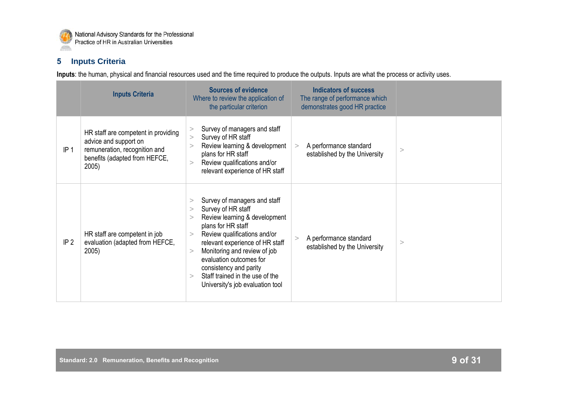

## **5 Inputs Criteria**

**Inputs**: the human, physical and financial resources used and the time required to produce the outputs. Inputs are what the process or activity uses.

|                 | <b>Inputs Criteria</b>                                                                                                                  | <b>Sources of evidence</b><br>Where to review the application of<br>the particular criterion                                                                                                                                                                                                                                                                                         | <b>Indicators of success</b><br>The range of performance which<br>demonstrates good HR practice |          |
|-----------------|-----------------------------------------------------------------------------------------------------------------------------------------|--------------------------------------------------------------------------------------------------------------------------------------------------------------------------------------------------------------------------------------------------------------------------------------------------------------------------------------------------------------------------------------|-------------------------------------------------------------------------------------------------|----------|
| IP <sub>1</sub> | HR staff are competent in providing<br>advice and support on<br>remuneration, recognition and<br>benefits (adapted from HEFCE,<br>2005) | Survey of managers and staff<br>><br>Survey of HR staff<br>><br>Review learning & development<br>><br>plans for HR staff<br>Review qualifications and/or<br>$\geq$<br>relevant experience of HR staff                                                                                                                                                                                | A performance standard<br>$\geq$<br>established by the University                               | >        |
| IP <sub>2</sub> | HR staff are competent in job<br>evaluation (adapted from HEFCE,<br>2005)                                                               | Survey of managers and staff<br>><br>Survey of HR staff<br>$\rm{>}$<br>Review learning & development<br>$\rm{>}$<br>plans for HR staff<br>Review qualifications and/or<br>><br>relevant experience of HR staff<br>Monitoring and review of job<br>><br>evaluation outcomes for<br>consistency and parity<br>Staff trained in the use of the<br>><br>University's job evaluation tool | A performance standard<br>><br>established by the University                                    | $\rm{>}$ |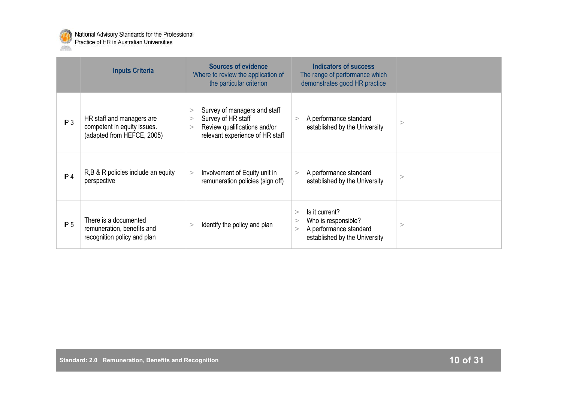

|                 | <b>Inputs Criteria</b>                                                                 | <b>Sources of evidence</b><br>Where to review the application of<br>the particular criterion                               | <b>Indicators of success</b><br>The range of performance which<br>demonstrates good HR practice                 |          |
|-----------------|----------------------------------------------------------------------------------------|----------------------------------------------------------------------------------------------------------------------------|-----------------------------------------------------------------------------------------------------------------|----------|
| IP <sub>3</sub> | HR staff and managers are<br>competent in equity issues.<br>(adapted from HEFCE, 2005) | Survey of managers and staff<br>><br>Survey of HR staff<br>Review qualifications and/or<br>relevant experience of HR staff | A performance standard<br>><br>established by the University                                                    | $\rm{>}$ |
| IP <sub>4</sub> | R,B & R policies include an equity<br>perspective                                      | Involvement of Equity unit in<br>$\geq$<br>remuneration policies (sign off)                                                | A performance standard<br>><br>established by the University                                                    | >        |
| IP <sub>5</sub> | There is a documented<br>remuneration, benefits and<br>recognition policy and plan     | Identify the policy and plan<br>$\rm{~}$                                                                                   | Is it current?<br>><br>Who is responsible?<br>><br>A performance standard<br>><br>established by the University | >        |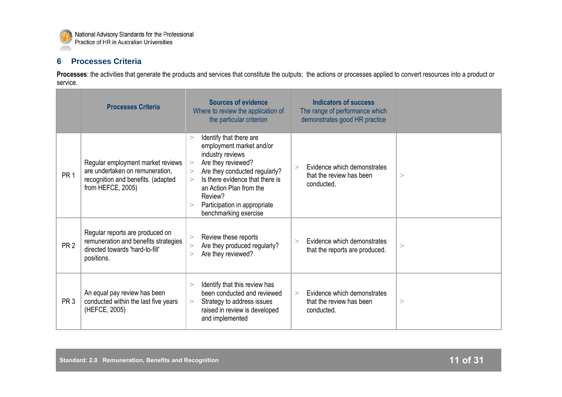

## **6 Processes Criteria**

Processes: the activities that generate the products and services that constitute the outputs; the actions or processes applied to convert resources into a product or service.

|                 | <b>Processes Criteria</b>                                                                                                       | <b>Sources of evidence</b><br>Where to review the application of<br>the particular criterion                                                                                                                                                                                                   | <b>Indicators of success</b><br>The range of performance which<br>demonstrates good HR practice |          |
|-----------------|---------------------------------------------------------------------------------------------------------------------------------|------------------------------------------------------------------------------------------------------------------------------------------------------------------------------------------------------------------------------------------------------------------------------------------------|-------------------------------------------------------------------------------------------------|----------|
| PR <sub>1</sub> | Regular employment market reviews<br>are undertaken on remuneration,<br>recognition and benefits. (adapted<br>from HEFCE, 2005) | Identify that there are<br>><br>employment market and/or<br>industry reviews<br>Are they reviewed?<br>><br>Are they conducted regularly?<br>><br>Is there evidence that there is<br>$\geq$<br>an Action Plan from the<br>Review?<br>Participation in appropriate<br>><br>benchmarking exercise | Evidence which demonstrates<br>$\geq$<br>that the review has been<br>conducted.                 | >        |
| PR <sub>2</sub> | Regular reports are produced on<br>remuneration and benefits strategies<br>directed towards 'hard-to-fill'<br>positions.        | Review these reports<br>><br>Are they produced regularly?<br>><br>Are they reviewed?<br>$\geq$                                                                                                                                                                                                 | Evidence which demonstrates<br>$\geq$<br>that the reports are produced.                         | $\rm{>}$ |
| PR <sub>3</sub> | An equal pay review has been<br>conducted within the last five years<br>(HEFCE, 2005)                                           | Identify that this review has<br>$\geq$<br>been conducted and reviewed<br>Strategy to address issues<br>><br>raised in review is developed<br>and implemented                                                                                                                                  | Evidence which demonstrates<br>$\geq$<br>that the review has been<br>conducted.                 | >        |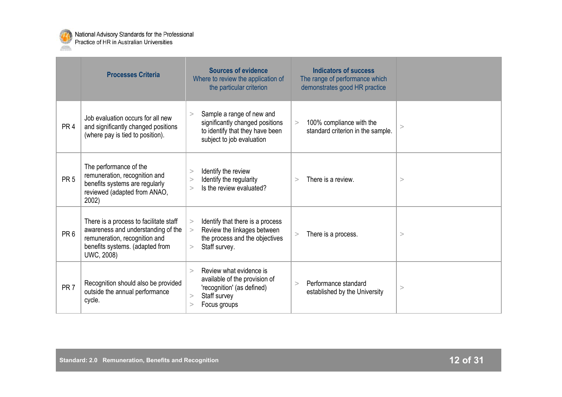

|                 | <b>Processes Criteria</b>                                                                                                                                      | <b>Sources of evidence</b><br>Where to review the application of<br>the particular criterion                                                       | <b>Indicators of success</b><br>The range of performance which<br>demonstrates good HR practice |          |
|-----------------|----------------------------------------------------------------------------------------------------------------------------------------------------------------|----------------------------------------------------------------------------------------------------------------------------------------------------|-------------------------------------------------------------------------------------------------|----------|
| PR <sub>4</sub> | Job evaluation occurs for all new<br>and significantly changed positions<br>(where pay is tied to position).                                                   | Sample a range of new and<br>><br>significantly changed positions<br>to identify that they have been<br>subject to job evaluation                  | 100% compliance with the<br>><br>standard criterion in the sample.                              | $\rm{>}$ |
| PR <sub>5</sub> | The performance of the<br>remuneration, recognition and<br>benefits systems are regularly<br>reviewed (adapted from ANAO,<br>2002)                             | Identify the review<br>><br>Identify the regularity<br>><br>Is the review evaluated?<br>$\,>$                                                      | There is a review.<br>$\geq$                                                                    | >        |
| PR <sub>6</sub> | There is a process to facilitate staff<br>awareness and understanding of the<br>remuneration, recognition and<br>benefits systems. (adapted from<br>UWC, 2008) | Identify that there is a process<br>><br>Review the linkages between<br>$\geq$<br>the process and the objectives<br>Staff survey.<br>>             | There is a process.<br>$\geq$                                                                   | >        |
| PR <sub>7</sub> | Recognition should also be provided<br>outside the annual performance<br>cycle.                                                                                | Review what evidence is<br>$\geq$<br>available of the provision of<br>'recognition' (as defined)<br>Staff survey<br>><br>Focus groups<br>$\rm{^>}$ | Performance standard<br>$\geq$<br>established by the University                                 | >        |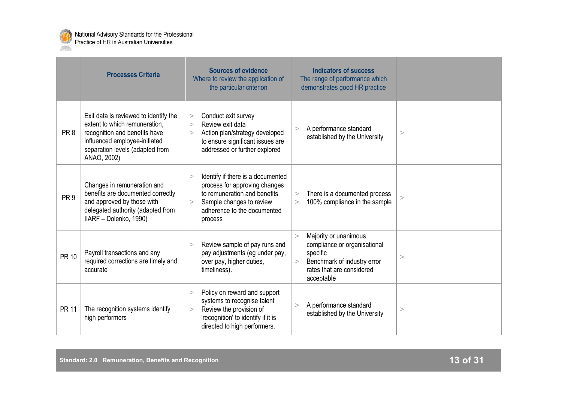

|                 | <b>Processes Criteria</b>                                                                                                                                                                  | <b>Sources of evidence</b><br>Where to review the application of<br>the particular criterion                                                                                            | <b>Indicators of success</b><br>The range of performance which<br>demonstrates good HR practice                                                            |   |
|-----------------|--------------------------------------------------------------------------------------------------------------------------------------------------------------------------------------------|-----------------------------------------------------------------------------------------------------------------------------------------------------------------------------------------|------------------------------------------------------------------------------------------------------------------------------------------------------------|---|
| PR <sub>8</sub> | Exit data is reviewed to identify the<br>extent to which remuneration.<br>recognition and benefits have<br>influenced employee-initiated<br>separation levels (adapted from<br>ANAO, 2002) | Conduct exit survey<br>$\rm{>}$<br>Review exit data<br>$\geq$<br>Action plan/strategy developed<br>><br>to ensure significant issues are<br>addressed or further explored               | A performance standard<br>$\geq$<br>established by the University                                                                                          | > |
| PR <sub>9</sub> | Changes in remuneration and<br>benefits are documented correctly<br>and approved by those with<br>delegated authority (adapted from<br>IIARF - Dolenko, 1990)                              | Identify if there is a documented<br>$\geq$<br>process for approving changes<br>to remuneration and benefits<br>Sample changes to review<br>><br>adherence to the documented<br>process | There is a documented process<br>><br>100% compliance in the sample<br>>                                                                                   | > |
| <b>PR 10</b>    | Payroll transactions and any<br>required corrections are timely and<br>accurate                                                                                                            | Review sample of pay runs and<br>><br>pay adjustments (eg under pay,<br>over pay, higher duties,<br>timeliness).                                                                        | Majority or unanimous<br>$\geq$<br>compliance or organisational<br>specific<br>Benchmark of industry error<br>><br>rates that are considered<br>acceptable | > |
| <b>PR 11</b>    | The recognition systems identify<br>high performers                                                                                                                                        | Policy on reward and support<br>$\geq$<br>systems to recognise talent<br>Review the provision of<br>><br>'recognition' to identify if it is<br>directed to high performers.             | A performance standard<br>><br>established by the University                                                                                               | > |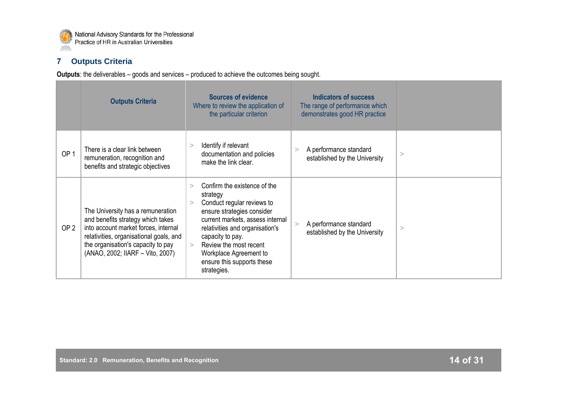

## **7 Outputs Criteria**

**Outputs**: the deliverables – goods and services – produced to achieve the outcomes being sought.

|                 | <b>Outputs Criteria</b>                                                                                                                                                                                                             | <b>Sources of evidence</b><br>Where to review the application of<br>the particular criterion                                                                                                                                                                                                                              | <b>Indicators of success</b><br>The range of performance which<br>demonstrates good HR practice |   |
|-----------------|-------------------------------------------------------------------------------------------------------------------------------------------------------------------------------------------------------------------------------------|---------------------------------------------------------------------------------------------------------------------------------------------------------------------------------------------------------------------------------------------------------------------------------------------------------------------------|-------------------------------------------------------------------------------------------------|---|
| OP <sub>1</sub> | There is a clear link between<br>remuneration, recognition and<br>benefits and strategic objectives                                                                                                                                 | Identify if relevant<br>documentation and policies<br>make the link clear.                                                                                                                                                                                                                                                | A performance standard<br>established by the University                                         | > |
| OP <sub>2</sub> | The University has a remuneration<br>and benefits strategy which takes<br>into account market forces, internal<br>relativities, organisational goals, and<br>the organisation's capacity to pay<br>(ANAO, 2002; IIARF - Vito, 2007) | Confirm the existence of the<br>$\geq$<br>strategy<br>Conduct regular reviews to<br>><br>ensure strategies consider<br>current markets, assess internal<br>relativities and organisation's<br>capacity to pay.<br>Review the most recent<br>$\geq$<br>Workplace Agreement to<br>ensure this supports these<br>strategies. | A performance standard<br>established by the University                                         | > |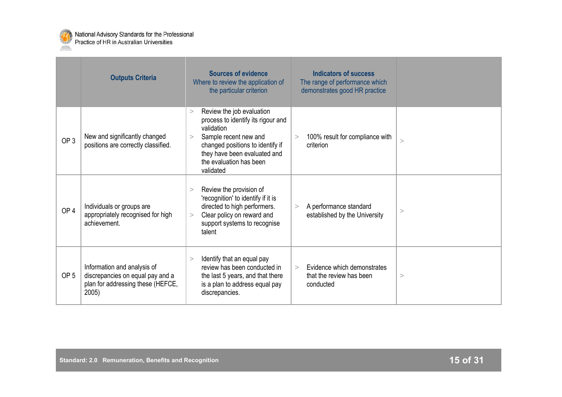

|                 | <b>Outputs Criteria</b>                                                                                       | <b>Sources of evidence</b><br>Where to review the application of<br>the particular criterion                                                                                                                                      | <b>Indicators of success</b><br>The range of performance which<br>demonstrates good HR practice |          |
|-----------------|---------------------------------------------------------------------------------------------------------------|-----------------------------------------------------------------------------------------------------------------------------------------------------------------------------------------------------------------------------------|-------------------------------------------------------------------------------------------------|----------|
| OP <sub>3</sub> | New and significantly changed<br>positions are correctly classified.                                          | Review the job evaluation<br>$\geq$<br>process to identify its rigour and<br>validation<br>Sample recent new and<br>><br>changed positions to identify if<br>they have been evaluated and<br>the evaluation has been<br>validated | 100% result for compliance with<br>><br>criterion                                               | $\rm{~}$ |
| OP <sub>4</sub> | Individuals or groups are<br>appropriately recognised for high<br>achievement.                                | Review the provision of<br>><br>'recognition' to identify if it is<br>directed to high performers.<br>Clear policy on reward and<br>><br>support systems to recognise<br>talent                                                   | A performance standard<br>$\geq$<br>established by the University                               | >        |
| OP <sub>5</sub> | Information and analysis of<br>discrepancies on equal pay and a<br>plan for addressing these (HEFCE,<br>2005) | Identify that an equal pay<br>><br>review has been conducted in<br>the last 5 years, and that there<br>is a plan to address equal pay<br>discrepancies.                                                                           | Evidence which demonstrates<br>$\geq$<br>that the review has been<br>conducted                  | >        |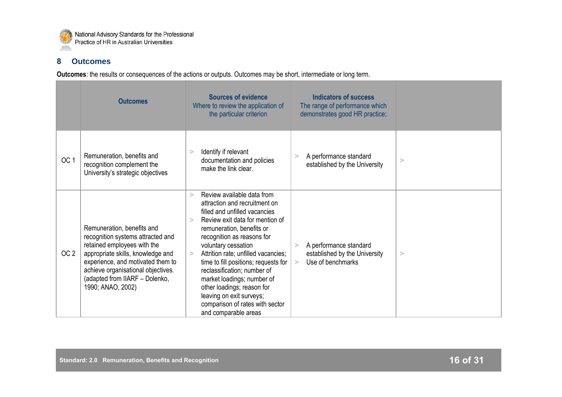

#### **8 Outcomes**

**Outcomes**: the results or consequences of the actions or outputs. Outcomes may be short, intermediate or long term.

|                 | <b>Outcomes</b>                                                                                                                                                                                                                                                       | <b>Sources of evidence</b><br>Where to review the application of<br>the particular criterion                                                                                                                                                                                                                                                                                                                                                                                                                | <b>Indicators of success</b><br>The range of performance which<br>demonstrates good HR practice; |          |
|-----------------|-----------------------------------------------------------------------------------------------------------------------------------------------------------------------------------------------------------------------------------------------------------------------|-------------------------------------------------------------------------------------------------------------------------------------------------------------------------------------------------------------------------------------------------------------------------------------------------------------------------------------------------------------------------------------------------------------------------------------------------------------------------------------------------------------|--------------------------------------------------------------------------------------------------|----------|
| OC <sub>1</sub> | Remuneration, benefits and<br>recognition complement the<br>University's strategic objectives                                                                                                                                                                         | Identify if relevant<br>><br>documentation and policies<br>make the link clear.                                                                                                                                                                                                                                                                                                                                                                                                                             | A performance standard<br>><br>established by the University                                     | >        |
| OC <sub>2</sub> | Remuneration, benefits and<br>recognition systems attracted and<br>retained employees with the<br>appropriate skills, knowledge and<br>experience, and motivated them to<br>achieve organisational objectives.<br>(adapted from IIARF - Dolenko,<br>1990; ANAO, 2002) | Review available data from<br>$\geq$<br>attraction and recruitment on<br>filled and unfilled vacancies<br>Review exit data for mention of<br>$\geq$<br>remuneration, benefits or<br>recognition as reasons for<br>voluntary cessation<br>Attrition rate; unfilled vacancies;<br>><br>time to fill positions; requests for<br>reclassification; number of<br>market loadings; number of<br>other loadings; reason for<br>leaving on exit surveys;<br>comparison of rates with sector<br>and comparable areas | A performance standard<br>><br>established by the University<br>Use of benchmarks<br>$\geq$      | $\rm{>}$ |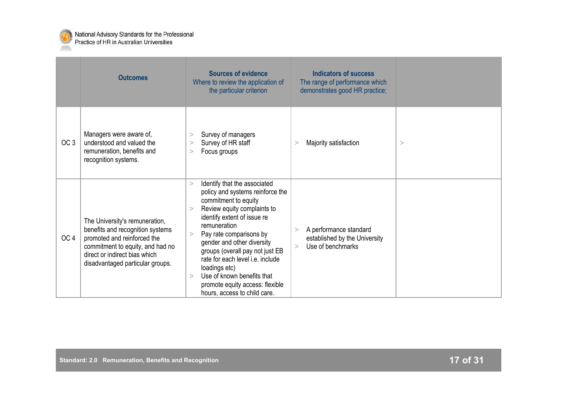

|                 | <b>Outcomes</b>                                                                                                                                                                                            | <b>Sources of evidence</b><br>Where to review the application of<br>the particular criterion                                                                                                                                                                                                                                                                                                                                                        | <b>Indicators of success</b><br>The range of performance which<br>demonstrates good HR practice; |   |
|-----------------|------------------------------------------------------------------------------------------------------------------------------------------------------------------------------------------------------------|-----------------------------------------------------------------------------------------------------------------------------------------------------------------------------------------------------------------------------------------------------------------------------------------------------------------------------------------------------------------------------------------------------------------------------------------------------|--------------------------------------------------------------------------------------------------|---|
| OC <sub>3</sub> | Managers were aware of,<br>understood and valued the<br>remuneration, benefits and<br>recognition systems.                                                                                                 | Survey of managers<br>><br>Survey of HR staff<br>><br>Focus groups<br>>                                                                                                                                                                                                                                                                                                                                                                             | Majority satisfaction<br>>                                                                       | > |
| OC <sub>4</sub> | The University's remuneration,<br>benefits and recognition systems<br>promoted and reinforced the<br>commitment to equity, and had no<br>direct or indirect bias which<br>disadvantaged particular groups. | Identify that the associated<br>><br>policy and systems reinforce the<br>commitment to equity<br>Review equity complaints to<br>><br>identify extent of issue re<br>remuneration<br>Pay rate comparisons by<br>><br>gender and other diversity<br>groups (overall pay not just EB<br>rate for each level <i>i.e.</i> include<br>loadings etc)<br>Use of known benefits that<br>><br>promote equity access: flexible<br>hours, access to child care. | A performance standard<br>><br>established by the University<br>Use of benchmarks<br>$\geq$      |   |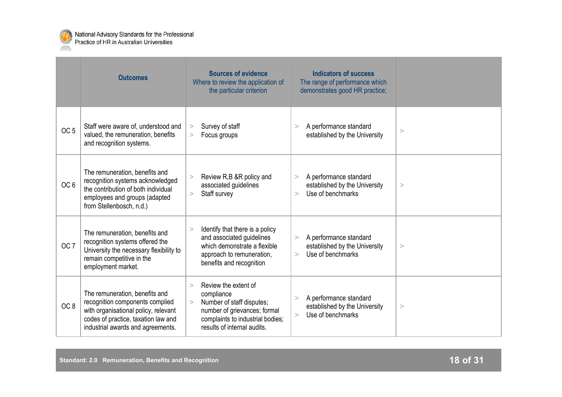

|                 | <b>Outcomes</b>                                                                                                                                                                       | <b>Sources of evidence</b><br>Where to review the application of<br>the particular criterion                                                                                      | <b>Indicators of success</b><br>The range of performance which<br>demonstrates good HR practice; |   |
|-----------------|---------------------------------------------------------------------------------------------------------------------------------------------------------------------------------------|-----------------------------------------------------------------------------------------------------------------------------------------------------------------------------------|--------------------------------------------------------------------------------------------------|---|
| OC <sub>5</sub> | Staff were aware of, understood and<br>valued, the remuneration, benefits<br>and recognition systems.                                                                                 | Survey of staff<br>><br>Focus groups<br>>                                                                                                                                         | A performance standard<br>$\geq$<br>established by the University                                | > |
| OC <sub>6</sub> | The remuneration, benefits and<br>recognition systems acknowledged<br>the contribution of both individual<br>employees and groups (adapted<br>from Stellenbosch, n.d.)                | Review R,B &R policy and<br>><br>associated guidelines<br>Staff survey<br>>                                                                                                       | A performance standard<br>><br>established by the University<br>Use of benchmarks<br>$\geq$      | > |
| OC <sub>7</sub> | The remuneration, benefits and<br>recognition systems offered the<br>University the necessary flexibility to<br>remain competitive in the<br>employment market.                       | Identify that there is a policy<br>$\geq$<br>and associated guidelines<br>which demonstrate a flexible<br>approach to remuneration,<br>benefits and recognition                   | A performance standard<br>><br>established by the University<br>Use of benchmarks<br>$\geq$      | > |
| OC <sub>8</sub> | The remuneration, benefits and<br>recognition components complied<br>with organisational policy, relevant<br>codes of practice, taxation law and<br>industrial awards and agreements. | Review the extent of<br>$\geq$<br>compliance<br>Number of staff disputes;<br>><br>number of grievances; formal<br>complaints to industrial bodies;<br>results of internal audits. | A performance standard<br>><br>established by the University<br>Use of benchmarks<br>$\geq$      | > |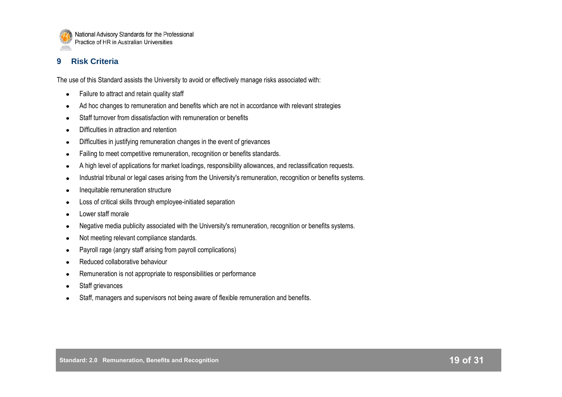

## **9 Risk Criteria**

The use of this Standard assists the University to avoid or effectively manage risks associated with:

- Failure to attract and retain quality staff  $\bullet$
- Ad hoc changes to remuneration and benefits which are not in accordance with relevant strategies
- Staff turnover from dissatisfaction with remuneration or benefits
- Difficulties in attraction and retention
- Difficulties in justifying remuneration changes in the event of grievances  $\bullet$
- Failing to meet competitive remuneration, recognition or benefits standards.
- A high level of applications for market loadings, responsibility allowances, and reclassification requests.
- Industrial tribunal or legal cases arising from the University's remuneration, recognition or benefits systems.
- Inequitable remuneration structure
- Loss of critical skills through employee-initiated separation
- Lower staff morale
- Negative media publicity associated with the University's remuneration, recognition or benefits systems.
- Not meeting relevant compliance standards.
- Payroll rage (angry staff arising from payroll complications)
- Reduced collaborative behaviour
- Remuneration is not appropriate to responsibilities or performance
- Staff grievances
- Staff, managers and supervisors not being aware of flexible remuneration and benefits.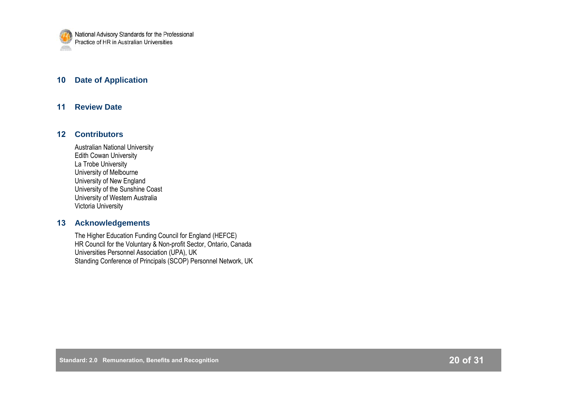

#### **10 Date of Application**

#### **11 Review Date**

#### **12 Contributors**

Australian National University Edith Cowan University La Trobe University University of Melbourne University of New England University of the Sunshine Coast University of Western Australia Victoria University

#### **13 Acknowledgements**

The Higher Education Funding Council for England (HEFCE) HR Council for the Voluntary & Non-profit Sector, Ontario, Canada Universities Personnel Association (UPA), UK Standing Conference of Principals (SCOP) Personnel Network, UK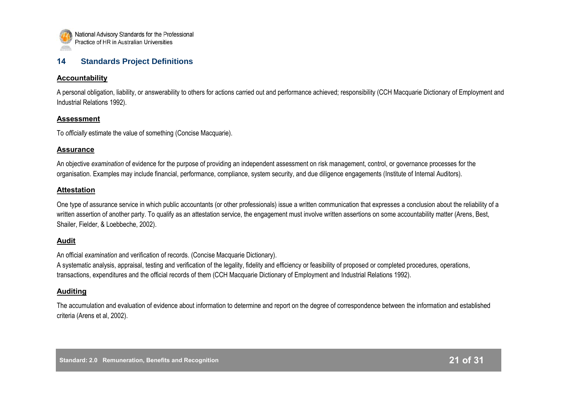

#### **14 Standards Project Definitions**

#### **Accountability**

A personal obligation, liability, or answerability to others for actions carried out and performance achieved; responsibility (CCH Macquarie Dictionary of Employment and Industrial Relations 1992).

#### **Assessment**

To *officially* estimate the value of something (Concise Macquarie).

#### **Assurance**

An objective *examination* of evidence for the purpose of providing an independent assessment on risk management, control, or governance processes for the organisation. Examples may include financial, performance, compliance, system security, and due diligence engagements (Institute of Internal Auditors).

#### **Attestation**

One type of assurance service in which public accountants (or other professionals) issue a written communication that expresses a conclusion about the reliability of a written assertion of another party. To qualify as an attestation service, the engagement must involve written assertions on some accountability matter (Arens, Best, Shailer, Fielder, & Loebbeche, 2002).

#### **Audit**

An official *examination* and verification of records. (Concise Macquarie Dictionary).

A systematic analysis, appraisal, testing and verification of the legality, fidelity and efficiency or feasibility of proposed or completed procedures, operations, transactions, expenditures and the official records of them (CCH Macquarie Dictionary of Employment and Industrial Relations 1992).

#### **Auditing**

The accumulation and evaluation of evidence about information to determine and report on the degree of correspondence between the information and established criteria (Arens et al, 2002).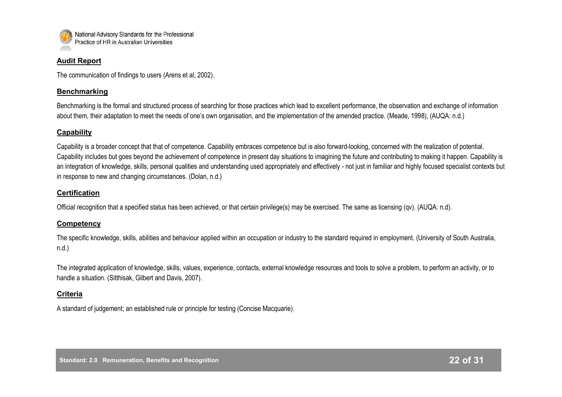

#### **Audit Report**

The communication of findings to users (Arens et al, 2002).

#### **Benchmarking**

Benchmarking is the formal and structured process of searching for those practices which lead to excellent performance, the observation and exchange of information about them, their adaptation to meet the needs of one"s own organisation, and the implementation of the amended practice. (Meade, 1998), (AUQA: n.d.)

#### **Capability**

Capability is a broader concept that that of competence. Capability embraces competence but is also forward-looking, concerned with the realization of potential. Capability includes but goes beyond the achievement of competence in present day situations to imagining the future and contributing to making it happen. Capability is an integration of knowledge, skills, personal qualities and understanding used appropriately and effectively - not just in familiar and highly focused specialist contexts but in response to new and changing circumstances. (Dolan, n.d.)

#### **Certification**

Official recognition that a specified status has been achieved, or that certain privilege(s) may be exercised. The same as licensing (qv). (AUQA: n.d).

#### **Competency**

The specific knowledge, skills, abilities and behaviour applied within an occupation or industry to the standard required in employment. (University of South Australia, n.d.)

The integrated application of knowledge, skills, values, experience, contacts, external knowledge resources and tools to solve a problem, to perform an activity, or to handle a situation. (Sitthisak, Gilbert and Davis, 2007).

#### **Criteria**

A standard of judgement; an established rule or principle for testing (Concise Macquarie).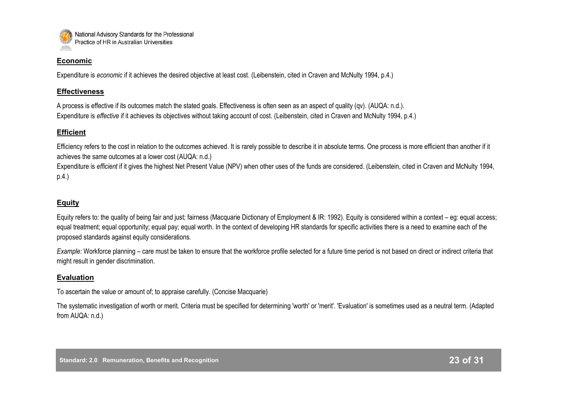

#### **Economic**

Expenditure is *economic* if it achieves the desired objective at least cost. (Leibenstein, cited in Craven and McNulty 1994, p.4.)

#### **Effectiveness**

A process is effective if its outcomes match the stated goals. Effectiveness is often seen as an aspect of quality (qv). (AUQA: n.d.). Expenditure is *effective* if it achieves its objectives without taking account of cost. (Leibenstein, cited in Craven and McNulty 1994, p.4.)

#### **Efficient**

Efficiency refers to the cost in relation to the outcomes achieved. It is rarely possible to describe it in absolute terms. One process is more efficient than another if it achieves the same outcomes at a lower cost (AUQA: n.d.)

Expenditure is *efficient* if it gives the highest Net Present Value (NPV) when other uses of the funds are considered. (Leibenstein, cited in Craven and McNulty 1994, p.4.)

## **Equity**

Equity refers to: the quality of being fair and just; fairness (Macquarie Dictionary of Employment & IR: 1992). Equity is considered within a context – eg: equal access; equal treatment; equal opportunity; equal pay; equal worth. In the context of developing HR standards for specific activities there is a need to examine each of the proposed standards against equity considerations.

*Example:* Workforce planning – care must be taken to ensure that the workforce profile selected for a future time period is not based on direct or indirect criteria that might result in gender discrimination.

#### **Evaluation**

To ascertain the value or amount of; to appraise carefully. (Concise Macquarie)

The systematic investigation of worth or merit. Criteria must be specified for determining 'worth' or 'merit'. 'Evaluation' is sometimes used as a neutral term. (Adapted from AUQA: n.d.)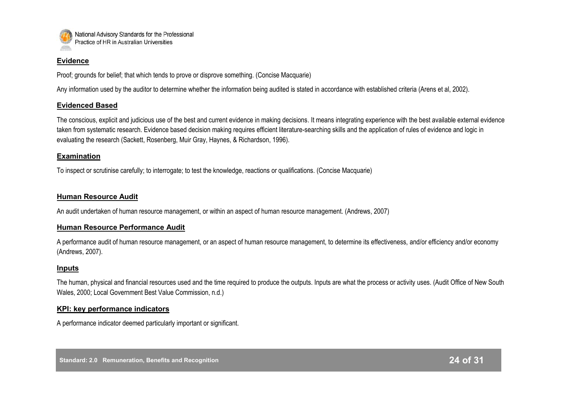

#### **Evidence**

Proof; grounds for belief; that which tends to prove or disprove something. (Concise Macquarie)

Any information used by the auditor to determine whether the information being audited is stated in accordance with established criteria (Arens et al, 2002).

#### **Evidenced Based**

The conscious, explicit and judicious use of the best and current evidence in making decisions. It means integrating experience with the best available external evidence taken from systematic research. Evidence based decision making requires efficient literature-searching skills and the application of rules of evidence and logic in evaluating the research (Sackett, Rosenberg, Muir Gray, Haynes, & Richardson, 1996).

#### **Examination**

To inspect or scrutinise carefully; to interrogate; to test the knowledge, reactions or qualifications. (Concise Macquarie)

#### **Human Resource Audit**

An audit undertaken of human resource management, or within an aspect of human resource management. (Andrews, 2007)

#### **Human Resource Performance Audit**

A performance audit of human resource management, or an aspect of human resource management, to determine its effectiveness, and/or efficiency and/or economy (Andrews, 2007).

#### **Inputs**

The human, physical and financial resources used and the time required to produce the outputs. Inputs are what the process or activity uses. (Audit Office of New South Wales, 2000; Local Government Best Value Commission, n.d.)

#### **KPI: key performance indicators**

A performance indicator deemed particularly important or significant.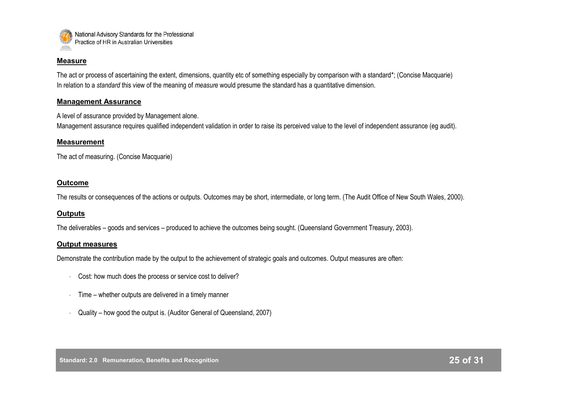

#### **Measure**

The act or process of ascertaining the extent, dimensions, quantity etc of something especially by comparison with a standard\*; (Concise Macquarie) In relation to a *standard* this view of the meaning of *measure* would presume the standard has a quantitative dimension.

#### **Management Assurance**

A level of assurance provided by Management alone.

Management assurance requires qualified independent validation in order to raise its perceived value to the level of independent assurance (eg audit).

#### **Measurement**

The act of measuring. (Concise Macquarie)

#### **Outcome**

The results or consequences of the actions or outputs. Outcomes may be short, intermediate, or long term. (The Audit Office of New South Wales, 2000).

#### **Outputs**

The deliverables – goods and services – produced to achieve the outcomes being sought. (Queensland Government Treasury, 2003).

#### **Output measures**

Demonstrate the contribution made by the output to the achievement of strategic goals and outcomes. Output measures are often:

- Cost: how much does the process or service cost to deliver?
- Time whether outputs are delivered in a timely manner
- Quality how good the output is. (Auditor General of Queensland, 2007)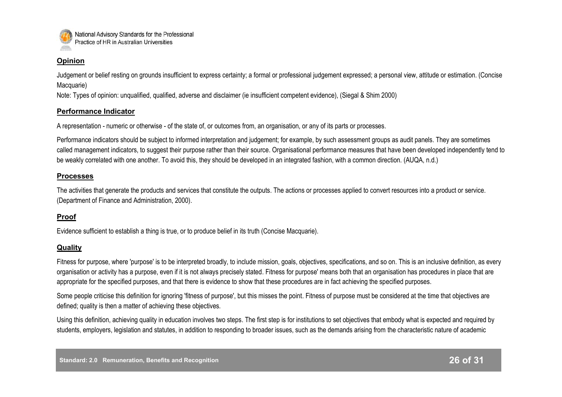

#### **Opinion**

Judgement or belief resting on grounds insufficient to express certainty; a formal or professional judgement expressed; a personal view, attitude or estimation. (Concise Macquarie)

Note: Types of opinion: unqualified, qualified, adverse and disclaimer (ie insufficient competent evidence), (Siegal & Shim 2000)

#### **Performance Indicator**

A representation - numeric or otherwise - of the state of, or outcomes from, an organisation, or any of its parts or processes.

Performance indicators should be subject to informed interpretation and judgement; for example, by such assessment groups as audit panels. They are sometimes called management indicators, to suggest their purpose rather than their source. Organisational performance measures that have been developed independently tend to be weakly correlated with one another. To avoid this, they should be developed in an integrated fashion, with a common direction. (AUQA, n.d.)

#### **Processes**

The activities that generate the products and services that constitute the outputs. The actions or processes applied to convert resources into a product or service. (Department of Finance and Administration, 2000).

#### **Proof**

Evidence sufficient to establish a thing is true, or to produce belief in its truth (Concise Macquarie).

#### **Quality**

Fitness for purpose, where 'purpose' is to be interpreted broadly, to include mission, goals, objectives, specifications, and so on. This is an inclusive definition, as every organisation or activity has a purpose, even if it is not always precisely stated. Fitness for purpose' means both that an organisation has procedures in place that are appropriate for the specified purposes, and that there is evidence to show that these procedures are in fact achieving the specified purposes.

Some people criticise this definition for ignoring 'fitness of purpose', but this misses the point. Fitness of purpose must be considered at the time that objectives are defined; quality is then a matter of achieving these objectives.

Using this definition, achieving quality in education involves two steps. The first step is for institutions to set objectives that embody what is expected and required by students, employers, legislation and statutes, in addition to responding to broader issues, such as the demands arising from the characteristic nature of academic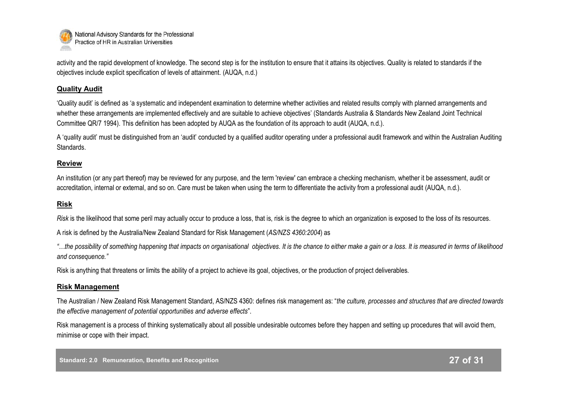

activity and the rapid development of knowledge. The second step is for the institution to ensure that it attains its objectives. Quality is related to standards if the objectives include explicit specification of levels of attainment. (AUQA, n.d.)

#### **Quality Audit**

"Quality audit" is defined as "a systematic and independent examination to determine whether activities and related results comply with planned arrangements and whether these arrangements are implemented effectively and are suitable to achieve objectives' (Standards Australia & Standards New Zealand Joint Technical Committee QR/7 1994). This definition has been adopted by AUQA as the foundation of its approach to audit (AUQA, n.d.).

A "quality audit" must be distinguished from an "audit" conducted by a qualified auditor operating under a professional audit framework and within the Australian Auditing Standards.

#### **Review**

An institution (or any part thereof) may be reviewed for any purpose, and the term 'review' can embrace a checking mechanism, whether it be assessment, audit or accreditation, internal or external, and so on. Care must be taken when using the term to differentiate the activity from a professional audit (AUQA, n.d.).

#### **Risk**

*Risk* is the likelihood that some peril may actually occur to produce a loss, that is, risk is the degree to which an organization is exposed to the loss of its resources.

A risk is defined by the Australia/New Zealand Standard for Risk Management (*AS/NZS 4360:2004*) as

*"…the possibility of something happening that impacts on organisational objectives. It is the chance to either make a gain or a loss. It is measured in terms of likelihood and consequence."*

Risk is anything that threatens or limits the ability of a project to achieve its goal, objectives, or the production of project deliverables.

#### **Risk Management**

The Australian / New Zealand Risk Management Standard, AS/NZS 4360: defines risk management as: "*the culture, processes and structures that are directed towards the effective management of potential opportunities and adverse effects*".

Risk management is a process of thinking systematically about all possible undesirable outcomes before they happen and setting up procedures that will avoid them, minimise or cope with their impact.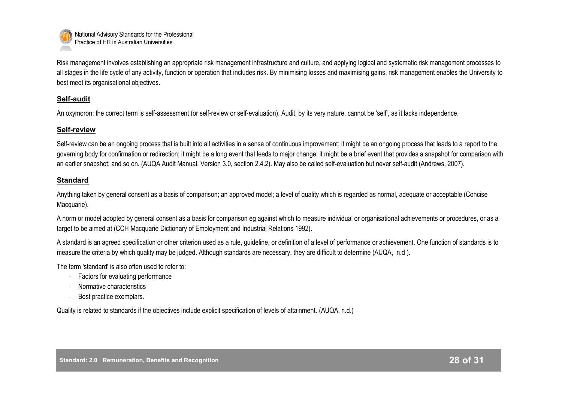

Risk management involves establishing an appropriate risk management infrastructure and culture, and applying logical and systematic risk management processes to all stages in the life cycle of any activity, function or operation that includes risk. By minimising losses and maximising gains, risk management enables the University to best meet its organisational objectives.

#### **Self-audit**

An oxymoron; the correct term is self-assessment (or self-review or self-evaluation). Audit, by its very nature, cannot be 'self', as it lacks independence.

#### **Self-review**

Self-review can be an ongoing process that is built into all activities in a sense of continuous improvement; it might be an ongoing process that leads to a report to the governing body for confirmation or redirection; it might be a long event that leads to major change; it might be a brief event that provides a snapshot for comparison with an earlier snapshot; and so on. (AUQA Audit Manual, Version 3.0, section 2.4.2). May also be called self-evaluation but never self-audit (Andrews, 2007).

#### **Standard**

Anything taken by general consent as a basis of comparison; an approved model; a level of quality which is regarded as normal, adequate or acceptable (Concise Macquarie).

A norm or model adopted by general consent as a basis for comparison eg against which to measure individual or organisational achievements or procedures, or as a target to be aimed at (CCH Macquarie Dictionary of Employment and Industrial Relations 1992).

A standard is an agreed specification or other criterion used as a rule, guideline, or definition of a level of performance or achievement. One function of standards is to measure the criteria by which quality may be judged. Although standards are necessary, they are difficult to determine (AUQA, n.d ).

The term 'standard' is also often used to refer to:

- Factors for evaluating performance
- Normative characteristics
- Best practice exemplars.

Quality is related to standards if the objectives include explicit specification of levels of attainment. (AUQA, n.d.)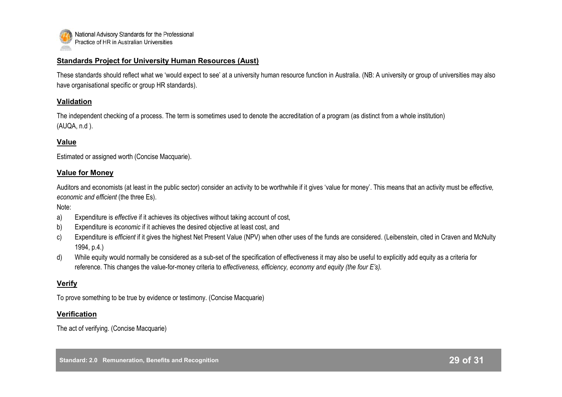

#### **Standards Project for University Human Resources (Aust)**

These standards should reflect what we "would expect to see" at a university human resource function in Australia. (NB: A university or group of universities may also have organisational specific or group HR standards).

#### **Validation**

The independent checking of a process. The term is sometimes used to denote the accreditation of a program (as distinct from a whole institution) (AUQA, n.d ).

#### **Value**

Estimated or assigned worth (Concise Macquarie).

#### **Value for Money**

Auditors and economists (at least in the public sector) consider an activity to be worthwhile if it gives "value for money". This means that an activity must be *effective, economic and efficient* (the three Es).

Note:

- a) Expenditure is *effective* if it achieves its objectives without taking account of cost,
- b) Expenditure is *economic* if it achieves the desired objective at least cost, and
- c) Expenditure is *efficient* if it gives the highest Net Present Value (NPV) when other uses of the funds are considered. (Leibenstein, cited in Craven and McNulty 1994, p.4.)
- d) While equity would normally be considered as a sub-set of the specification of effectiveness it may also be useful to explicitly add equity as a criteria for reference. This changes the value-for-money criteria to *effectiveness, efficiency, economy and equity (the four E's).*

#### **Verify**

To prove something to be true by evidence or testimony. (Concise Macquarie)

#### **Verification**

The act of verifying. (Concise Macquarie)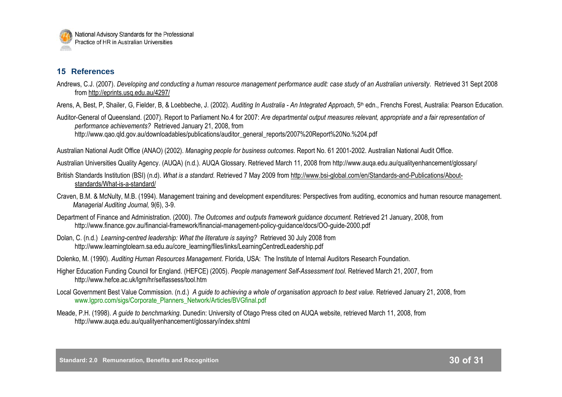

## **15 References**

- Andrews, C.J. (2007). *Developing and conducting a human resource management performance audit: case study of an Australian university*. Retrieved 31 Sept 2008 from <http://eprints.usq.edu.au/4297/>
- Arens, A, Best, P, Shailer, G, Fielder, B, & Loebbeche, J. (2002). *Auditing In Australia - An Integrated Approach*, 5th edn., Frenchs Forest, Australia: Pearson Education.

Auditor-General of Queensland. (2007). Report to Parliament No.4 for 2007: *Are departmental output measures relevant, appropriate and a fair representation of performance achievements?* Retrieved January 21, 2008, from http://www.qao.qld.gov.au/downloadables/publications/auditor\_general\_reports/2007%20Report%20No.%204.pdf

Australian National Audit Office (ANAO) (2002). *Managing people for business outcomes*. Report No. 61 2001-2002. Australian National Audit Office.

Australian Universities Quality Agency. (AUQA) (n.d.). AUQA Glossary. Retrieved March 11, 2008 from http://www.auqa.edu.au/qualityenhancement/glossary/

- British Standards Institution (BSI) (n.d). *What is a standard.* Retrieved 7 May 2009 from http://www.bsi-global.com/en/Standards-and-Publications/Aboutstandards/What-is-a-standard/
- Craven, B.M. & McNulty, M.B. (1994). Management training and development expenditures: Perspectives from auditing, economics and human resource management. *Managerial Auditing Journal,* 9(6), 3-9.
- Department of Finance and Administration. (2000). *The Outcomes and outputs framework guidance document.* Retrieved 21 January, 2008, from http://www.finance.gov.au/financial-framework/financial-management-policy-guidance/docs/OO-guide-2000.pdf
- Dolan, C. (n.d.) *Learning-centred leadership: What the literature is saying?* Retrieved 30 July 2008 from http://www.learningtolearn.sa.edu.au/core\_learning/files/links/LearningCentredLeadership.pdf
- Dolenko, M. (1990). *Auditing Human Resources Management*. Florida, USA: The Institute of Internal Auditors Research Foundation.
- Higher Education Funding Council for England. (HEFCE) (2005). *People management Self-Assessment tool*. Retrieved March 21, 2007, from http://www.hefce.ac.uk/lgm/hr/selfassess/tool.htm
- Local Government Best Value Commission. (n.d.) *A guide to achieving a whole of organisation approach to best value.* Retrieved January 21, 2008, from www.lgpro.com/sigs/Corporate\_Planners\_Network/Articles/BVGfinal.pdf
- Meade, P.H. (1998). *A guide to benchmarking*. Dunedin: University of Otago Press cited on AUQA website, retrieved March 11, 2008, from http://www.auqa.edu.au/qualityenhancement/glossary/index.shtml